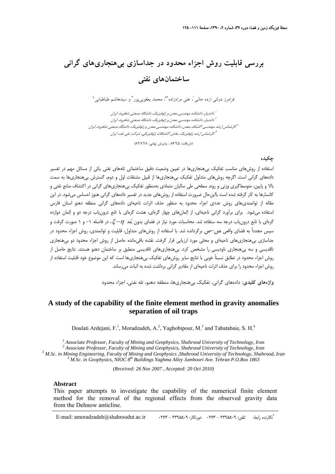# **بررسي قابليت روش اجزاء محدود در جداسازي بيهنجاريهاي گراني ساختمانهاي نفتي**

 $\frac{3}{2}$  و اسم طباطبايي علي مرادزاده الله محمد يعقوبي بور للمراسم مسلم مسلم مراطبايي السموط و دولتي ارده جاني ارده کلي ارده شمارز دولتي اسمبل

دانشيار، دانشكده مهندسي معدن <sup>و</sup> ژئوفيزيك، دانشگاه صنعتي شاهرود، ايران <sup>1</sup> دانشيار، دانشكده مهندسي معدن <sup>و</sup> ژئوفيزيك، دانشگاه صنعتي شاهرود، ايران <sup>2</sup> <sup>۳</sup> كارشناس ارشد مهندسي اكتشاف معدن، دانشكده مهندسي معدن و ژئوفيزيک، دانشگاه صنعتي شاهرود، ايران كارشناس ارشد ژئوفيزيك، بخش اكتشافات ژئوفيزيكي، شركت ملي نفت ايران <sup>4</sup>

(دريافت: ۸۶٬۹٫۵ ، پذيرش نهايي: ۸۹٬۷٬۲۸)

### **چكيده**

استفاده از روشهاي مناسب تفكيك بيهنجاريها در تعيين وضعيت دقيق ساختماني تلههاي نفتي يكي از مسائل مهم در تفسير دادههاي گراني است. اگرچه روشهاي متداول تفكيك بيهنجاريها از قبيل مشتقات اول و دوم، گسترش بيهنجاريها به سمت بالا و پايين، متوسطگيري وزني و روند سطحي طي ساليان متمادي بهمنظور تفكيك بيهنجاريهاي گراني در اكتشاف منابع نفتي و كانسارها به كار گرفته شده است بااينحال ضرورت استفاده از روشهاي جديد در تفسير دادههاي گراني هنوز احساس ميشود. در اين مقاله از توانمنديهاي روش عددي اجزاء محدود به منظور حذف اثرات ناحيهاي دادههاي گراني منطقه دهنو استان فارس استفاده ميشود. براي برآورد گراني ناحيهاي، از ا لمانهاي چهار گرهاي، هشت گرهاي با تابع درونياب درجه دو و المان دوازده گرهاي با تابع درونياب درجه سه ستفاده شد. محاسبات مورد نياز در فضاي بدون بعد <sup>η</sup>− ξ، در فاصله -1 و 1 صورت گرفت و سپس مجدداً به فضاي واقعي ص–ص برگردانده شد. با استفاده از روش هاي متداول، قابليت و توانمندي، روش اجزاء محدود در جداسازي بيهنجاريهاي ناحيهاي و محلي مورد ارزيابي قرار گرفت. نقشه باقيمانده حاصل از روش اجزاء محدود دو بيهنجاري تاقديسي و سه بيهنجاري ناوديسي را مشخص كرد. بيهنجاريهاي تاقديسي منطبق بر ساختمان دهنو هستند. نتايج حاصل از روش اجزاء محدود در تطابق نسبتاً خوبي با نتايج ساير روشهاي تفكيك بيهنجاريها است كه اين موضوع خود قابليت استفاده از روش اجزاء محدود را براي حذف اثرات ناحيهاي از مقادير گراني برداشت شده به اثبات مي رساند.

**واژههاي كليدي:** دادههاي گراني، تفكيك بيهنجاريها، منطقه دهنو، تله نفتي، اجزاء محدود

## **A study of the capability of the finite element method in gravity anomalies separation of oil traps**

Doulati Ardejani, F.<sup>1</sup>, Moradzadeh, A.<sup>2</sup>, Yaghobipour, M.<sup>3</sup> and Tabatabaie, S. H.<sup>4</sup>

<sup>1</sup> Associate Professor, Faculty of Mining and Geophysics, Shahrood University of Technology, Iran <sup>2</sup> Associate Professor, Faculty of Mining and Ceophysics, Shahrood University of Technology, Iran <sup>2</sup> Associate Professor, Faculty of Mining and Geophysics, Shahrood University of Technology, Iran

 *M.Sc. in Mining Engineering, Faculty of Mining and Geophysics ,Shahrood University of Technology, Shahrood, Iran <sup>4</sup>*

<sup>4</sup> M.Sc. in Geophysics, NIOC 8<sup>th</sup> Buildings Yaghma Alley Jumhoori Ave. Tehran P.O.Box 1863

*(Received: 26 Nov 2007 , Accepted: 20 Oct 2010)* 

#### **Abstract**

This paper attempts to investigate the capability of the numerical finite element method for the removal of the regional effects from the observed gravity data from the Dehnow anticline.

\* E-mail: amoradzadeh@shahroodut.ac.ir 0273 - 3395509 :دورنگار 0273 - 3395509 :تلفن :رابط نگارنده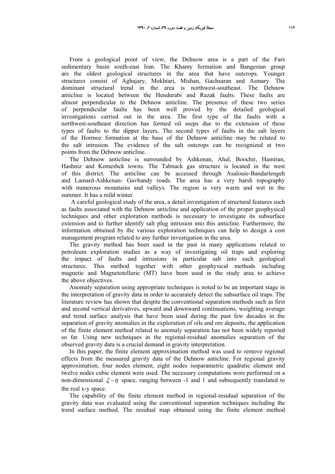From a geological point of view, the Dehnow area is a part of the Fars sedimentary basin south-east Iran. The Khamy formation and Bangestan group are the oldest geological structures in the area that have outcrops. Younger structures consist of Aghajary, Mokhtari, Mishan, Gachsaran and Asmary. The dominant structural trend in the area is northwest-southeast. The Dehnow anticline is located between the Hendurabi and Razak faults. These faults are almost perpendicular to the Dehnow anticline. The presence of these two series of perpendicular faults has been well proved by the detailed geological investigations carried out in the area. The first type of the faults with a northwest-southeast direction has formed oil seeps due to the extension of these types of faults to the dipper layers. The second types of faults in the salt layers of the Hormoz formation at the base of the Dehnow anticline may be related to the salt intrusion. The evidence of the salt outcrops can be recognized at two points from the Dehnow anticline.

The Dehnow anticline is surrounded by Ashkenan, Ahal, Boochir, Hamiran, Hashniz and Kemeshck towns. The Tabnack gas structure is located in the west of this district. The anticline can be accessed through Asalouie-Bandarlengeh and Lamard-Ashkenan- Gavbandy roads. The area has a very harsh topography with numerous mountains and valleys. The region is very warm and wet in the summer. It has a mild winter.

 A careful geological study of the area, a detail investigation of structural features such as faults associated with the Dehnow anticline and application of the proper geophysical techniques and other exploration methods is necessary to investigate its subsurface extension and to further identify salt plug intrusion into this anticline. Furthermore, the information obtained by the various exploration techniques can help to design a cost management program related to any further investigation in the area.

The gravity method has been used in the past in many applications related to petroleum exploration studies as a way of investigating oil traps and exploring the impact of faults and intrusions in particular salt into such geological structures. This method together with other geophysical methods including magnetic and Magnetotelluric (MT) have been used in the study area to achieve the above objectives.

Anomaly separation using appropriate techniques is noted to be an important stage in the interpretation of gravity data in order to accurately detect the subsurface oil traps. The literature review has shown that despite the conventional separation methods such as first and second vertical derivatives, upward and downward continuations, weighting average and trend surface analysis that have been used during the past few decades in the separation of gravity anomalies in the exploration of oils and ore deposits, the application of the finite element method related to anomaly separation has not been widely reported so far. Using new techniques in the regional-residual anomalies separation of the observed gravity data is a crucial demand in gravity interpretation.

In this paper, the finite element approximation method was used to remove regional effects from the measured gravity data of the Dehnow anticline. For regional gravity approximation, four nodes element, eight nodes isoparametric quadratic element and twelve nodes cubic element were used. The necessary computations were performed on a non-dimensional  $\xi - \eta$  space, ranging between -1 and 1 and subsequently translated to the real x-y space.

The capability of the finite element method in regional-residual separation of the gravity data was evaluated using the conventional separation techniques including the trend surface method. The residual map obtained using the finite element method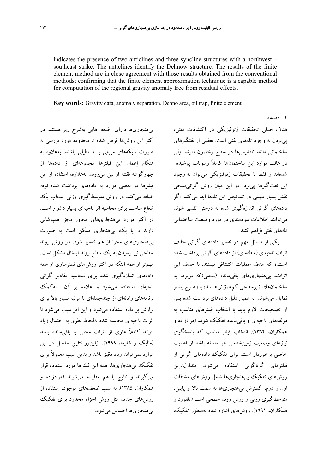indicates the presence of two anticlines and three syncline structures with a northwest – southeast strike. The anticlines identify the Dehnow structure. The results of the finite element method are in close agreement with those results obtained from the conventional methods; confirming that the finite element approximation technique is a capable method for computation of the regional gravity anomaly free from residual effects.

**Key words:** Gravity data, anomaly separation, Dehno area, oil trap, finite element

بيهنجاريها داراي ضعفهايي بهشرح زير هستند. در اكثر اين روشها فرض شده تا محدوده مورد بررسي به صورت شبكههاي مربعي يا مستطيلي باشند. بهعلاوه به هنگام اعمال اين فيلترها مجموعهاي از دادهها از چهارگوشه نقشه از بين ميروند. بهعلاوه، استفاده از اين فيلترها در بعضي موارد به دادههاي برداشت شده نوفه اضافه مي كند. در روش متوسطگيري وزني انتخاب يك شعاع مناسب براي محاسبه اثر ناحيهاي بسيار دشوار است. در اكثر موارد بيهنجاريهاي مجاور مجزا همپوشاني دارند و يا يك بيهنجاري ممكن است به صورت بيهنجاريهاي مجزا از هم تفسير شود. در روش روند سطحي نيز رسيدن به يك سطح روند ايدئال مشكل است. مهمتر از همه اينكه در اكثر روشهاي فيلترسازي از همه دادههاي اندازهگيري شده براي محاسبه مقادير گراني ناحيهاي استفاده ميشود و علاوه بر آن بهكمك برنامههاي رايانهاي از چندجملهاي با مرتبه بسيار بالا براي برازش بر داده استفاده ميشود و اين امر سبب ميشود تا اثرات ناحيهاي محاسبه شده بهلحاظ نظري به احتمال زياد نتواند كاملاً عاري از اثرات محلي يا باقيمانده باشد (ماليك و شارما، 1999). ازاينرو نتايج حاصل در اين موارد نميتواند زياد دقيق باشد و بدين سبب معمولاً براي تفكيك بيهنجاريها، همه اين فيلترها مورد استفاده قرار ميگيرند و نتايج با هم مقايسه ميشوند (مرادزاده و همكاران، 1385). به سبب ضعفهاي موجود، استفاده از روشهاي جديد مثل روش اجزاء محدود براي تفكيك بيهنجاريها احساس ميشود.

هدف اصلي تحقيقات ژئوفيزيكي در اكتشافات نفتي، پيبردن به وجود تلههاي نفتي است. بعضي از نفتگيرهاي ساختماني مانند تاقديسها در سطح رخنمون دارند. ولي در غالب موارد اين ساختمانها كاملاً رسوبات پوشيده شدهاند و فقط با تحقيقات ژئوفيزيكي ميتوان به وجود اين نفتگيرها پيبرد. در اين ميان روش گرانيسنجي نقش بسيار مهمي در تشخيص اين تلهها ايفا ميكند. اگر دادههاي گراني اندازهگيري شده به درستي تفسير شوند ميتوانند اطلاعات سودمندي در مورد وضعيت ساختماني تلههاي نفتي فراهم كنند.

**1 مقدمه** 

يكي از مسائل مهم در تفسير دادههاي گراني حذف اثرات ناحيهاي (منطقهاي) از دادههاي گراني برداشت شده است.؛ كه هدف عمليات اكتشافي نيستند. با حذف اين اثرات، بيهنجاريهاي باقيمانده (محلي)كه مربوط به ساختمانهاي زيرسطحي كمعمقتر هستند، با وضوح بيشتر نمايان ميشوند. به همين دليل دادههاي برداشت شده پس از تصحيحات لازم بايد با انتخاب فيلترهاي مناسب به مولفههاي ناحيهاي و باقيمانده تفكيك شوند (مرادزاده و همكاران، 1384). انتخاب فيلتر مناسب كه پاسخگوي نيازهاي وضعيت زمينشناسي هر منطقه باشد از اهميت خاصي برخوردار است. براي تفكيك دادههاي گراني از فيلترهاي گوناگوني استفاده ميشود. متداولترين روشهاي تفكيك بيهنجاريها شامل روشهاي مشتقات اول و دوم، گسترش بيهنجاريها به سمت بالا و پايين، متوسطگيري وزني و روش روند سطحي است (تلفورد و همكاران، 1991). روشهاي اشاره شده بهمنظور تفكيك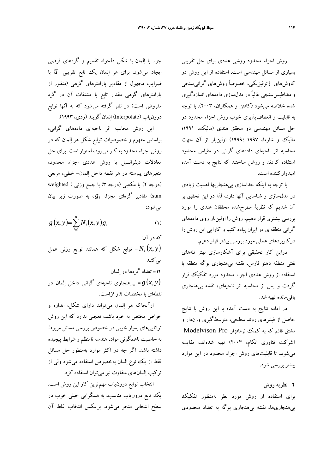روش اجزاء محدود روشي عددي براي حل تقريبي بسياري از مسائل مهندسي است. استفاده از اين روش در كاوشهاي ژئوفيزيكي، خصوصاً روشهاي گرانيسنجي و مغناطيسسنجي غالباً در مدلسازي دادههاي اندازهگيري شده خلاصه ميشود (كافتن و همكاران، 2003). با توجه به قابليت و انعطافپذيري خوب روش اجزاء محدود در حل مسائل مهندسي دو محقق هندي (ماليك، 1991؛ ماليك و شارما، 1997 ؛1999) اولينبار از آن جهت محاسبه اثر ناحيهاي دادههاي گراني در مقياس محدود استفاده كردند و روشن ساختند كه نتايج به دست آمده اميدواركننده است.

با توجه به اينكه جداسازي بيهنجاريها اهميت زيادي در مدلسازي و شناسايي آنها دارد، لذا در اين تحقيق بر آن شديم كه نظرية مطرحشده محققان هندي را مورد بررسي بيشتري قرار دهيم، روش را اولينبار روي دادههاي گراني منطقهاي در ايران پياده كنيم و كارايي اين روش را دركاربردهاي عملي مورد بررسي بيشترقرار دهيم.

دراين كار تحقيقي براي آشكارسازي بهتر تلههاي نفتي منطقه دهنو فارس، نقشه بيهنجاري بوگه منطقه با استفاده از روش عددي اجزاء محدود مورد تفكيك قرار گرفت و پس از محاسبه اثر ناحيهاي، نقشه بيهنجاري باقيمانده تهيه شد.

در ادامه نتايج به دست آمده با اين روش با نتايج حاصل از فيلترهاي روند سطحي، متوسطگيري وزندار و مشتق قائم كه به كمك نرمافزار Pro Modelvison (شركت فناوري انكام، 2003) تهيه شدهاند، مقايسه ميشوند تا قابليتهاي روش اجزاء محدود در اين موارد بيشتربررسي شود.

**2 نظريه روش**  براي استفاده از روش مورد نظر بهمنظور تفكيك بيهنجاريها، نقشه بيهنجاري بوگه به تعداد محدودي

جزء يا المان با شكل دلخواه تقسيم و گرههاي فرضي ايجاد ميشود. براي هر المان يك تابع تقريبي *u* با ضرايب مجهول از مقادير پارامترهاي گرهي (منظور از پارامترهاي گرهي مقدار تابع يا مشتقات آن در گره مفروض است) در نظر گرفته ميشود كه به آنها توابع درونياب (Interpolate (المان گويند (ردي، 1993).

اين روش محاسبه اثر ناحيهاي دادههاي گراني، براساس مفهوم و خصوصيات توابع شكل هر المان كه در روش اجزاء محدود به كار ميرود، استوار است. براي حل معادلات ديفرانسيل با روش عددي اجزاء محدود، متغيرهاي پيوسته در هر نقطه داخل المان- خطي، مربعي (درجه 2) يا مكعبي (درجه 3) با جمع وزني ( weighted sum (مقادير گرهاي مجزا، *gi* ، به صورت زير بيان ميشود:

$$
g(x, y) = \sum_{i=1}^{n} N_i(x, y) g_i
$$
 (1)

كه در آن: توابع شكل كه همانند توابع وزني عمل *i* =  $N_i(x, y)$ مي كنند

*n* = تعداد گرهها در المان

(*y* ,*x* (*g* = بيهنجاري ناحيهاي گراني داخل المان در نقطهاي با مختصات *x* و *y* است.

ازآنجاكه هر المان ميتواند داراي شكل، اندازه و خواص مختص به خود باشد، تعجبي ندارد كه اين روش تواناييهاي بسيار خوبي در خصوص بررسي مسائل مربوط به خاصيت ناهمگوني مواد، هندسه نامنظم و شرايط پيچيده داشته باشد. اگر چه در اكثر موارد بهمنظور حل مسائل فقط از يك نوع المان بهخصوص استفاده مي شود ول<sub>ى</sub> از تركيب المانهاي متفاوت نيز ميتوان استفاده كرد.

انتخاب توابع درونياب مهمترين كار اين روش است. يك تابع درونياب مناسب، به همگرايي خيلي خوب در سطح انتخابي منجر ميشود. برعكس انتخاب غلط آن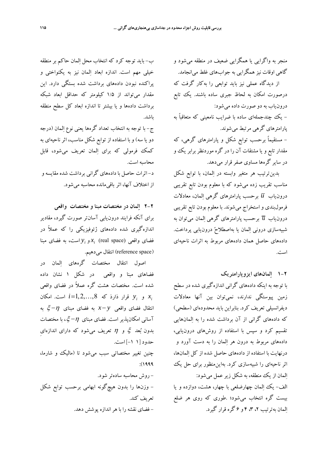منجر به واگرايي يا همگرايي ضعيف در منطقه ميشود و گاهي اوقات نيز همگرايي به جوابهاي غلط ميانجامد.

از ديدگاه عملي نيز بايد توابعي را بهكار گرفت كه درصورت امكان به لحاظ جبري ساده باشند. يك تابع درونياب به دو صورت داده ميشود:

- يك چندجملهاي ساده با ضرايب نامعيني كه متعاقباً به پارامترهاي گرهي مرتبط ميشوند.

- مستقيماً برحسب توابع شكل و پارامترهاي گرهي، كه مقدار تابع و يا مشتقات آن را در گره موردنظربرابر يك و در ساير گرهها مساوي صفر قرار ميدهد.

بدينترتيب هر متغير وابسته در المان، با توابع شكل مناسب تقريب زده ميشود كه با معلوم بودن تابع تقريبي درونياب *u* برحسب پارامترهاي گرهي المان، معادلات فرمولبندي و استخراج ميشوند. با معلوم بودن تابع تقريبي درون $\overline{\mathrm{u}}$  برحسب پارامترهاي گرهي المان مي $\overline{\mathrm{u}}$  به شبيهسازي دروني المان يا بهاصطلاح درونيابي پرداخت. دادههاي حاصل همان دادههاي مربوط به اثرات ناحيهاي است.

**1-2 المانهاي ايزوپارامتريك** 

با توجه به اينكه دادههاي گراني اندازهگيري شده در سطح زمين پيوستگي ندارند، نميتوان بين آنها معادلات ديفرانسيلي تعريف كرد. بنابراين بايد محدودهاي (سطحي) كه دادههاي گراني از آن برداشت شده را به المانهايي تقسيم كرد و سپس با استفاده از روشهاي درونيابي، دادههاي مربوط به درون هر المان را به دست آورد و درنهايت با استفاده از دادههاي حاصل شده از كل المانها، اثر ناحيهاي را شبيهسازي كرد. بهاينمنظور براي حل يك المان از يك منطقه، به شكل زير عمل ميشود: الف- يك المان چهارضلعي با چهار، هشت، دوازده و يا بيست گره انتخاب ميشود؛ .طوري كه روي هر ضلع المان بهترتيب ،2 ،3 4 و 6 گره قرار گيرد.

ب- بايد توجه كرد كه انتخاب محل المان حاكم بر منطقه خيلي مهم است. اندازه ابعاد المان نيز به يكنواختي و پراكنده نبودن دادههاي برداشت شده بستگي دارد. اين مقدار ميتواند از 1/5 كيلومتر كه حداقل ابعاد شبكه برداشت دادهها و يا بيشتر تا اندازه ابعاد كل سطح منطقه باشد.

ج- با توجه به انتخاب تعداد گرهها يعني نوع المان (درجه دو يا سه) و با استفاده از توابع شكل مناسب، اثر ناحيهاي به كمك فرمولي كه براي المان تعريف ميشود، قابل محاسبه است. د- اثرات حاصل بادادههاي گراني برداشت شده مقايسهو از اختلاف آنها، اثر باقيمانده محاسبه ميشود.

**2-2 المان در مختصات مبنا و مختصات واقعي**  براي آنكه فرايند درونيابي آسانتر صورت گيرد، مقادير اندازهگيري شده دادههاي ژئوفيزيكي را كه عملاً در  $\chi_i$  (real space) فضای واقعی  $\chi_i$  (real space) مبنا (reference space) انتقال مي دهيم.

اصول انتقال مختصات گرههاي المان در فضاهاي مبنا و واقعي در شكل 1 نشان داده شده است. مختصات هشت گره عملاً در فضاي واقعي و *y* قرار ذارذ كه *i*=1,2,...,8 او *y* و *y* انتقال فضاي واقعي *y* −*x* به فضاي مبناي <sup>η</sup>− ξ به آساني امكانپذير است. فضاي مبناي  $\eta$ − گي، با مختصات بدون بُعد گر و  $\eta$  تعريف مي شود كه داراي اندازهاي حدود [1 -1] است. چنين تغيير مختصاتي سبب ميشود تا (ماليك و شارما، :(1999 - روش محاسبه سادهتر شود.

- وزنها را بدون هيچگونه ابهامي برحسب توابع شكل تعريف كند. - فضاي نقشه را با هراندازه پوشش دهد.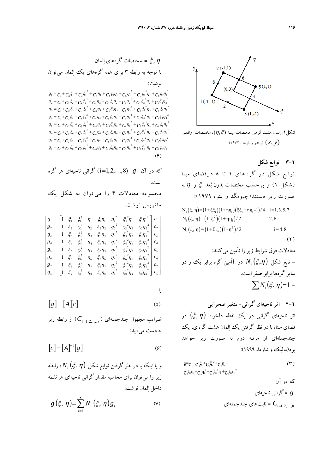

**شكل.1** المان هشت گرهي: مختصات مبنـا (ξ,η(، مختـصات واقعـي (*y* ,*x*) (پيندر <sup>و</sup> فريند، 1972).

**3-2 توابع شكل**  توابع شكل در گره هاى ١ تا ٨ درفضاى مبنا (شكل ۱) و برحسب مختصات بدون بُعد گِ و  $\eta$ به صورت زير هستند(چيونگ و يئو، 1979):  $N_i (\xi, \eta) = (1+\xi\xi_i)(1+\eta\eta_i)(\xi\xi_i+\eta\eta_i-1)/4 \quad i=1,3,5,7$  $N_i(\xi, \eta) = (1-\xi^2)(1+\eta \eta_i)/2$  i=2,6  $N_i(\xi, \eta) = (1+\xi\xi_i)(1-\eta^2)/2$  i = 4,8  $(7)$ معادلات فوق شرايط زيررا تأمين ميكنند:

معادلات فوی شرایط ریر را مامین می خندا:  
- تابع شکل 
$$
N_i\left(\xi,\eta\right)
$$
 در نا<sup>1</sup>مین گره برابر یک و در  
سایر گرهها برابر صفر است.  
 
$$
\sum N_i\left(\xi,\eta\right)=1 -
$$

**4-2 اثر ناحيهاي گراني- متغير صحرايي** اثر ناحيهاي گراني در يك نقطه دلخواه (η,ξ (در فضاي مبنا، با در نظر گرفتن يك المان هشت گرهاي، يك چندجملهاي از مرتبه دوم به صورت زير خواهد بود(ماليك و شارما، 1999):

$$
g = c_1 + c_2 \xi_i + c_3 \xi_i^2 + c_4 \eta_i + c_5 \xi_i \eta_i + c_6 \eta_i^2 + c_7 \xi_i^2 \eta_i + c_8 \xi_i \eta_i^2
$$
\n
$$
\xi_i = \xi_i \eta_i + \xi_i \eta_i^2 + \xi_i \xi_i \eta_i^2
$$
\n
$$
\xi_i = \xi_i \xi_i + \xi_i \xi_i
$$
\n
$$
\xi_i = \xi_i \xi_i + \xi_i \xi_i + \xi_i \xi_i
$$

*g* = گراني ناحيهاي = ثابتهاي چندجملهاي ,8...2, 1,<sup>=</sup>*Ci*

<sup>η</sup>,ξ = مختصات گرههاي المان با توجه به رابطه 3 براي همه گرههاي يك المان ميتوان نوشت:

 $g_1 = c_1 + c_2 \xi_1 + c_3 \xi_2^2 + c_4 \eta_1 + c_5 \xi_1 \eta_1 + c_6 \eta_1^2 + c_7 \xi_1^2 \eta_1 + c_8 \xi_1 \eta_1^2$  $g_2 = c_1 + c_2 \xi_2 + c_3 \xi_2^2 + c_4 \eta_2 + c_5 \xi_2 \eta_2 + c_6 \eta_2^2 + c_7 \xi_2^2 \eta_2 + c_8 \xi_2 \eta_2^2$  $g_3 = c_1 + c_2 \xi_3 + c_3 \xi_3^2 + c_4 \eta_3 + c_5 \xi_3 \eta_3 + c_6 \eta_3^2 + c_7 \xi_3^2 \eta_3 + c_8 \xi_3 \eta_3^2$  $g_4 = c_1 + c_2 \xi_4 + c_3 \xi_4^2 + c_4 \eta_4 + c_5 \xi_4 \eta_4 + c_6 \eta_4^2 + c_7 \xi_4^2 \eta_4 + c_8 \xi_4 \eta_4^2$  $g_5 = c_1 + c_2 \xi_5 + c_3 \xi_5^2 + c_4 \eta_5 + c_5 \xi_5 \eta_5 + c_6 \eta_5^2 + c_7 \xi_5^2 \eta_5 + c_8 \xi_5 \eta_5^2$  $g_6 = c_1 + c_2 \xi_6 + c_3 \xi_6^2 + c_4 \eta_6 + c_5 \xi_6 \eta_6 + c_6 \eta_6^2 + c_7 \xi_6^2 \eta_6 + c_8 \xi_6 \eta_6^2$  $g_7 = c_1 + c_2 \xi_7 + c_3 \xi_7^2 + c_4 \eta_7 + c_5 \xi_7 \eta_7 + c_6 \eta_7^2 + c_7 \xi_7^2 \eta_7 + c_8 \xi_7 \eta_7^2$  $g_8 = c_1 + c_2 \xi_8 + c_3 \xi_8^2 + c_4 \eta_8 + c_5 \xi_8 \eta_8 + c_6 \eta_8^2 + c_7 \xi_8^2 \eta_8 + c_8 \xi_8 \eta_8^2$  $(F)$ 

(,8...1,2,=*i* (گراني ناحيهاي هر گره *gi* كه در آن است. مجموعه معادلات 4 را مي توان ب ه شكل يك ماتريس نوشت: ⎤ ⎡ ⎤ ⎡ ⎤ ⎡ 1 2 1 1 1 2 1 2 1 1 1 1 2 1 1 1 1 *c g* ξ ξ η ξ η η ξ η ξ η

$$
\begin{bmatrix}\n\mathbf{0} & \mathbf{0} & \mathbf{0} & \mathbf{0} & \mathbf{0} & \mathbf{0} & \mathbf{0} & \mathbf{0} \\
\mathbf{0} & \mathbf{0} & \mathbf{0} & \mathbf{0} & \mathbf{0} & \mathbf{0} & \mathbf{0} \\
\mathbf{0} & \mathbf{0} & \mathbf{0} & \mathbf{0} & \mathbf{0} & \mathbf{0} & \mathbf{0} \\
\mathbf{0} & \mathbf{0} & \mathbf{0} & \mathbf{0} & \mathbf{0} & \mathbf{0} & \mathbf{0} \\
\mathbf{0} & \mathbf{0} & \mathbf{0} & \mathbf{0} & \mathbf{0} & \mathbf{0} & \mathbf{0} \\
\mathbf{0} & \mathbf{0} & \mathbf{0} & \mathbf{0} & \mathbf{0} & \mathbf{0} & \mathbf{0} \\
\mathbf{0} & \mathbf{0} & \mathbf{0} & \mathbf{0} & \mathbf{0} & \mathbf{0} & \mathbf{0} \\
\mathbf{0} & \mathbf{0} & \mathbf{0} & \mathbf{0} & \mathbf{0} & \mathbf{0} & \mathbf{0} \\
\mathbf{0} & \mathbf{0} & \mathbf{0} & \mathbf{0} & \mathbf{0} & \mathbf{0} & \mathbf{0} \\
\mathbf{0} & \mathbf{0} & \mathbf{0} & \mathbf{0} & \mathbf{0} & \mathbf{0} & \mathbf{0} \\
\mathbf{0} & \mathbf{0} & \mathbf{0} & \mathbf{0} & \mathbf{0} & \mathbf{0} & \mathbf{0} \\
\mathbf{0} & \mathbf{0} & \mathbf{0} & \mathbf{0} & \mathbf{0} & \mathbf{0} & \mathbf{0} \\
\mathbf{0} & \mathbf{0} & \mathbf{0} & \mathbf{0} & \mathbf{0} & \mathbf{0} & \mathbf{0} \\
\mathbf{0} & \mathbf{0} & \mathbf{0} & \mathbf{0} & \mathbf{0} & \mathbf{0} & \mathbf{0} \\
\mathbf{0} & \mathbf{0} & \mathbf{0} & \mathbf{0} & \mathbf{0} & \mathbf{0} & \mathbf{0} \\
\mathbf{0} & \mathbf{
$$

$$
\_ \cdot \_
$$

$$
\begin{bmatrix} g \end{bmatrix} = \begin{bmatrix} A \end{bmatrix} c \end{bmatrix} \tag{2}
$$

ضرايب مجهول چندجملهاي (  $C_{i=1,2,...,8}$ ) از رابطه زير به دست ميآيد:

$$
[c] = [A]^{-1} [g] \tag{9}
$$

و يا اينكه با در نظر گرفتن توابع شكل  $N_{i}\big(\xi,\eta\big)$ ، رابطه زير را ميتوان براي محاسبه مقدار گراني ناحيهاي هر نقطه داخل المان نوشت:

$$
g\left(\xi,\,\eta\right)=\sum_{i=1}^8 N_i\left(\xi,\,\eta\right)g_i\qquad \qquad \text{(V)}
$$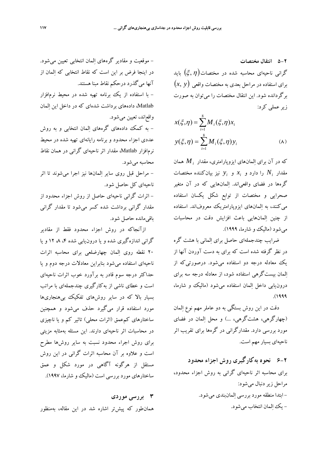**5-2 انتقال مختصات**  گراني ناحيهاي محاسبه شده در مختصات $(\xi,\eta)$  بايد براي استفاده در مراحل بعدي به مختصات واقعي (*y* ,*x*( برگردانده شود . اين انتقال مختصات را ميتوان به صورت زيرعملي كرد:

$$
x(\xi, \eta) = \sum_{i=1}^{8} M_i(\xi, \eta) x_i
$$
  

$$
y(\xi, \eta) = \sum_{i=1}^{8} M_i(\xi, \eta) y_i
$$
 (A)

همان *Mi* كه در آن براي المانهاي ايزوپارامتري، مقدار *y* نيز بيانكننده مختصات *<sup>i</sup> x* و *<sup>i</sup>* را دارد و *Ni* مقدار گرهها در فضاي واقعياند. ا لمانهايي كه در آن متغير صحرايي و مختصات از توابع شكل يكسان استفاده ميكنند، به المانهاي ايزوپارامتريك معروفاند. استفاده از چنين المانهايي باعث افزايش دقت در محاسبات ميشود (ماليك و شارما، 1999).

ضرايب چندجملهاي حاصل براي الماني با هشت گره در نظر گرفته شده است كه براي به دست آوردن آنها از يك معادله درجه دو استفاده ميشود. درصورتيكه از المان بيستگرهي استفاده شود، از معادله درجه سه براي درونيابي داخل المان استفاده ميشود (ماليك و شارما، .(1999

دقت در اين روش بستگي به دو عاملر مهم نوع المان (چهارگرهي، هشتگرهي، ...) و محل المان در فضاي مورد بررسي دارد. مقدارگراني در گرهها براي تقريب اثر ناحيهاي بسيار مهم است.

**6-2 نحوه بهكارگيري روش اجزاء محدود**  براي محاسبه اثر ناحيهاي گراني به روش اجزاء محدود، مراحل زير دنبال ميشود: - ابتدا منطقه مورد بررسي المانبندي ميشود. - يك المان انتخاب ميشود.

- موقعيت و مقادير گرههاي المان انتخابي تعيين ميشود. در اينجا فرض بر اين است كه نقاط انتخابي كه المان از آنها ميگذرد درحكم نقاط مبنا هستند. - با استفاده از يك برنامه تهيه شده در محيط نرمافزار Matlab، دادههاي برداشت شدهاي كه در داخل اين المان واقعاند، تعيين ميشود. - به كمك دادههاي گرههاي المان انتخابي و به روش

عددي اجزاء محدود و برنامه رايانهاي تهيه شده در محيط نرمافزار Matlab، مقدار اثر ناحيهاي گراني در همان نقاط محاسبه ميشود.

- مراحل قبل روي ساير المانها نيز اجرا ميشوند تا اثر ناحيهاي كل حاصل شود.

- اثرات گراني ناحيهاي حاصل از روش اجزاء محدود از مقدار گراني برداشت شده كسر ميشود تا مقدار گراني باقيمانده حاصل شود.

ازآنجاكه در روش اجزاء محدود فقط از مقادير گراني اندازهگيري شده و يا درون يابي شده ۴، ۸، ۱۲ و يا 20 نقطه روي المان چهارضلعي براي محاسبه اثرات ناحيهاي استفاده ميشود بنابراين معادلات درجه دوم و يا حداكثر درجه سوم قادر به برآورد خوب اثرات ناحيهاي است و خطاي ناشي از بهكارگيري چندجملهاي با مراتب بسيار بالا كه در ساير روشهاي تفكيك بيهنجاريها مورد استفاده قرار ميگيرد حذف ميشود و همچنين ساختارهاي كمعمق (اثرات محلي) تاثير كم و يا ناچيزي در محاسبات اثر ناحيهاي دارند. اين مسئله بهمثابه مزيتي براي روش اجراء محدود نسبت به ساير روشها مطرح است و علاوه بر آن محاسبه اثرات گراني در اين روش مستقل از هرگونه آگاهي در مورد شكل و عمق ساختارهاي مورد بررسي است (ماليك و شارما، 1997).

**3 بررسي موردي** 

همانطور كه پيشتر اشاره شد در اين مقاله، بهمنظور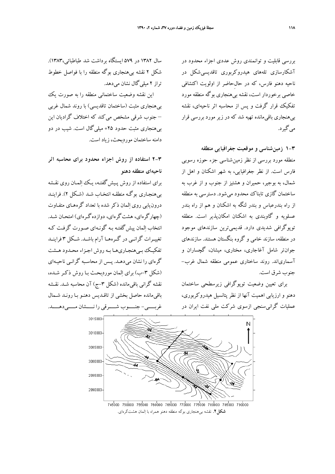بررسي قابليت و توانمندي روش عددي اجزاء محدود در آشكارسازي تل ههاي هيدروكربوري تاقديسيشكل در ناحيه دهنو فارس، كه در ِ حالحاضر از اولويت اكتشافي خاصي برخوردار است، نقشه بيهنجاري بوگه منطقه مورد تفكيك قرار گرفت و پس از محاسبه اثر ناحيهاي، نقشه بيهنجاري باقيمانده تهيه شد كه در زير مورد بررسي قرار ميگيرد.

**1-3 زمينشناسي و موقعيت جغرافيايي منطقه**  منطقه مورد بررسي از نظر زمينشناسي جزء حوزه رسوبي فارس است. از نظر جغرافيايي، به شهر اشكنان و اهل از شمال، به بوجير، حميران و هشتيز از جنوب و از غرب به ساختمان گازي تابناك محدود ميشود. دسترسي به منطقه از راه بندرعباس و بندر لنگه به اشكنان و هم از راه بندر عسلويه و گاوبندي به اشكنان امكانپذير است. منطقه توپوگرافي شديدي دارد. قديميترين سازندهاي موجود در منطقه، سازند خامي و گروه بنگستان هستند. سازندهاي جوانتر شامل آغاجاري، مختاري، ميشان، گچساران و آسمارياند. روند ساختاري عمومي منطقه شمال غرب- جنوب شرق است.

براي تعيين وضعيت توپوگرافي زيرسطحي ساختمان دهنو و ارزيابي اهميت آنها از نظر پتانسيل هيدروكربوري، عمليات گرانيسنجي ازسوي شركت ملي نفت ايران در

سال 1382 در 579 ايستگاه برداشت شد طباطبائي1383،). شكل 2 نقشه بيهنجاري بوگه منطقه را با فواصل خطوط تراز ٢ مبلي گال نشان مي دهد.

اين نقشه وضعيت ساختماني منطقه را به صورت يك بيهنجاري مثبت (ساختمان تاقديسي) با روند شمال غربي – جنوب شرقي مشخص ميكند كه اختلاف گراديان اين بيهنجاري مثبت حدود +25 ميليگال است. شيب در دو دامنه ساختمان موردبحث، زياد است.

**2-3 استفاده از روش اجزاء محدود براي محاسبه اثر ناحيهاي منطقه دهنو** 

براي استفاده از روش پـيش گفتـه، يـك المـان روي نقـشه بيهنجـاري بوگـه منطقـه انتخـاب شـد (شـكل 2). فراينـد درونيابي روي المان ذكر شده با تعداد گره هـاي متفـاوت (چهارگرهاي، هشتگرهاي، دوازدهگـرهاي) امتحـان شـد. انتخاب المان پيشگفتـه بـه گونـه اي صـورت گرفـت كـه تغييــرات گرانــي در گــرههــا آرام باشــد. شــكل 3 فراينــد تفكيـك بـيهنجـاريهـا بـه روش اجـزاء محـدود هـشت گرهاي را نشان ميدهـد. پـس از محاسـبه گرانـي ناحيـه اي (شكل ٣-ب) براي المان موردبحـث بـا روش ذكـر شـده، نقشه گراني باقي مانده (شكل ٣–ج) آن محاسبه شـد. نقـشه باقيمانده حاصل بخشي از تاقـديس دهنـو بـا رونـد شـمال غربـــــي- جنـــــوب شـــــرقي را نـــــشان مـــــيدهـــــد.



**شكل.2** نقشه بيهنجاري بوگه منطقه دهنو همراه با المان هشتگرهاي.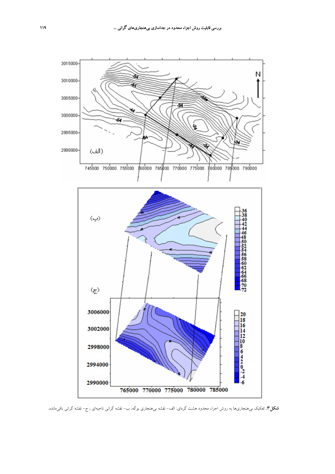

**شكل.3** تفكيك بيهنجاريها به روش اجزاء محدود هشت گرهاي: الف- نقشه بيهنجاري بوگه، ب- نقشه گراني ناحيهاي ، ج- نقشه گراني باقيمانده.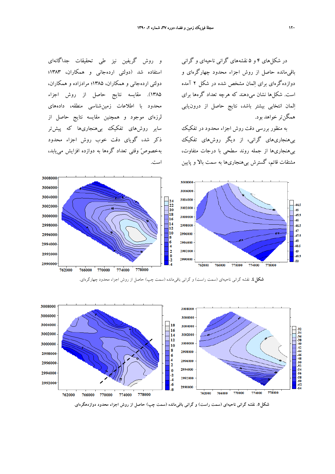در شكلهاي 4 و 5 نقشههاي گراني ناحيهاي و گراني باقيمانده حاصل از روش اجزاء محدود چهارگرهاي و دوازدهگرهاي براي المان مشخص شده در شكل 2 آمده است. شكلها نشان ميدهند كه هرچه تعداد گرهها براي المان انتخابي بيشتر باشد، نتايج حاصل از درونيابي همگنتر خواهد بود.

به منظور بررسي دقت روش اجزاء محدود در تفكيك بيهنجاريهاي گراني، از ديگر روشهاي تفكيك بيهنجاريها از جمله روند سطحي با درجات متفاوت، مشتقات قائم، گسترش بيهنجاريها به سمت بالا و پايين

و روش گريفين نيز طي تحقيقات جداگانهاي استفاده شد (دولتي اردهجاني و همكاران، 1383؛ دولتي اردهجاني و همكاران، 1385؛ مرادزاده و همكاران، 1385). مقايسه نتايج حاصل از روش اجزاء محدود با اطلاعات زمينشناسي منطقه، دادههاي لرزهاي موجود و همچنين مقايسه نتايج حاصل از ساير روشهاي تفكيك بيهنجاريها كه پيشتر ذكر شد، گوياي دقت خوب روش اجزاء محدود بهخصوص وقتي تعداد گرهها به دوازده افزايش مييابد، است.



**شكل.4** نقشه گراني ناحيهاي (سمت راست) <sup>و</sup> گراني باقيمانده (سمت چپ) حاصل از روش اجزاء محدود چهارگرهاي**.** 



شکل0. نقشه گرانی ناحیهای (سمت راست) و گرانی باقی0انده (سمت چپ) حاصل از روش اجزاء محدود دوازدهگرهای.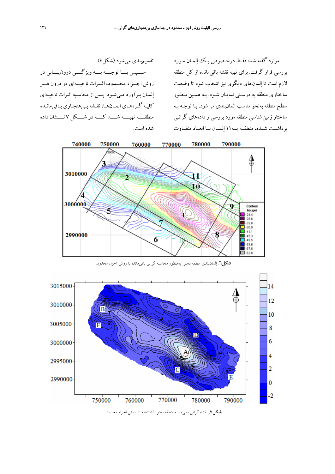تقسيمبندي ميشود (شكل6). ســــپس بــــا توجــــه بــــه ويژگــــي درونيــــابي در روش اجـــزاء محـــدود، اثـــرات ناحيـــهاي در درون هـــر المـان بـرآورد مـيشـود. پـس از محاسـبه اثـرات ناحيـهاي كليـه گـرههـاي المـانهـا، نقـشه بـيهنجـاري بـاقيمانـده منطقــــه تهيــــه شــــد كــــه در شــــكل 7 نــــشان داده شده است.

موارد گفته شده فقـط درخـصوص يـك المـان مـورد بررسي قرار گرفت. براي تهيه نقشه باقيمانده از كل منطقه لازم است تا المان هاي ديگري نيز انتخاب شود تا وضعيت ساختاري منطقه به درسـتي نمايـان شـود. بـه همـين منظـور سطح منطقه بهنحو مناسب المانبندي ميشود. بـا توجـه بـه ساختار زمينشناسي منطقه مورد بررسي و داده هاي گرانـي برداشــت شــده، منطقــه بــه11 المــان بــا ابعــاد متفــاوت



**شكل.6** المانبندي منطقه دهنو بهمنظور محاسبه گراني باقيمانده با روش اجزاء محدود.



**شكل.7** نقشه گراني باقيمانده منطقه دهنو با استفاده از روش اجزاء محدود.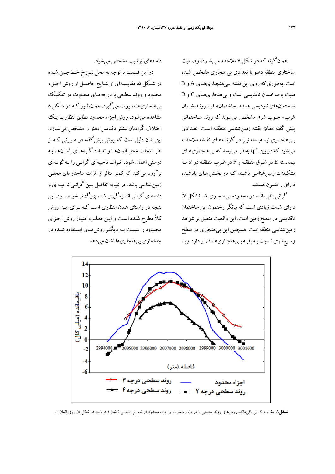همانگونه كه در شكل 7 ملاحظه مـيشـود، وضـعيت ساختاري منطقه دهنو با تعدادي بي هنجاري مشخص شـده است. به طوري كه روي اين نقشه بـي هنجـاريهـاي A و B مثبت يا ساختمان تاقديسي است و بي هنجاريهـاي C و D ساختمانهاي ناوديسي هستند. ساختمانهـا بـا رونـد شـمال غرب- جنوب شرق مشخص ميشوند كه روند سـاختماني پيش گفته مطابق نقشه زمين شناسي منطقـه اسـت . تعـدادي بـيهنجـاري نيمـهبـسته نيـزدر گوشـههـاي نقـشه ملاحظـه ميشود كه در بين آنها به نظر ميرسد كه بيهنجـاريهـاي نيمه بسته E در شـرق منطقـه و F در غـرب منطقـه در ادامـه تشكيلات زمينشناسي باشـند كـه در بخـش هـاي يادشـده داراي رخنمون هستند.

گراني باقيمانده در محدوده بيهنجاري A) شكل 7) داراي شدت زيادي است كه بيانگر رخنمون اين ساختمان تاقديسي در سطح زمين است . اين واقعيت منطبق بر شواهد زمينشناسي منطقه است. همچنين اين بيهنجاري در سطح وسـيعتـري نـسبت بـه بقيـه بـيهنجـاريهـا قـرار دارد و بـا

دامنههاي پرشيب مشخص ميشود.

در اين قسمت با توجه به محل نيم رخ خـط چـين شـده در شــكل ۵، مقايــسهاي از نتــايج حاصــل از روش اجــزاء محدود و روند سطحي با درجه هـاي متفـاوت در تفكيـك بيهنجاريها صورت ميگيرد. همانطـور كـه در شـكل 8 مشاهده ميشود، روش اجزاء محدود مطابق انتظار بـا يـك اختلاف گراديان بيشترتاقديس دهنو را مشخص ميسـازد. اين بدان دليل است كه روش پيشگفته در صورتي كـه از نظر انتخاب محل المان هـا و تعـداد گـره هـاي المـان هـا بـه درستي اعمال شود، اثـرات ناحيـهاي گرانـي را بـه گونـهاي برآورد ميكند كه كمتر متاثر از اثرات ساختار هاي محلـي زمينشناسي باشد. در نتيجه تفاضل بـين گرانـي ناحيـه اي و داده هاي گراني اندازه گيري شده بزرگتر خواهد بود. اين نتيجه در راستاي همان انتظاري است كـه بـراي ايـن روش قبلاً مطرح شـده اسـت و ايـن مطلـب امتيـاز روش اجـزاي محـدود را نـسبت بـه ديگــرروشهـاي اسـتفاده شــده در جداسازي بيهنجاريها نشان ميدهد.



**شكل.8** مقايسه گراني باقيمانده روشهاي روند سطحي با درجات متفاوت و اجزاء محدود در نيمرخ انتخابي (نشان داده شده در شكل 5) روي المان .1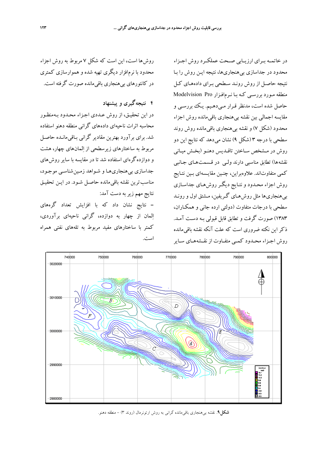در خاتمــه بــراي ارزيــابي صــحت عملكــرد روش اجــزاء محدود در جداسازي بيهنجاريها، نتيجه ايـن روش را بـا نتيجه حاصـل از روش رونـد سـطحي بـراي داده هـاي كـل منطقه مـورد بررسـي كـه بـا نـرم افـزار Pro Modelvision حاصل شده است، مدنظر قـرار مـي دهـيم. يـك بررسـي و مقايسه اجمالي بين نقشه بيهنجاري باقيمانده روش اجزاء محدود (شكل 7) و نقشه بيهنجاري باقيمانده روش روند سطحي با درجه 3 (شكل 9) نشان ميدهد كه نتايج اين دو روش در مـشخص سـاختن تاقـديس دهنـو (بخـش ميـاني نقشه ها) تطابق مناسبي دارند ولـي در قـسمت هـاي جـانبي كمي متفاوتاند. علاوه براين، چنـين مقايـسه اي بـين نتـايج روش اجزاء محـدود و نتـايج ديگـرروش هـاي جداسـازي بيهنجاري ها مثل روش هـاي گـريفين، مـشتق اول و رونـد سطحي با درجات متفاوت (دولتي ارده جاني و همكـاران، 1383) صورت گرفت و تطابق قابل قبولي بـه دسـت آمـد . ذكر اين نكته ضروري است كه علت آنكه نقشه باقي مانده روش اجـزاء محـدود كمـي متفـاوت از نقـشههـاي سـاير

روش ها است، اين است كه شكل 7 مربوط به روش اجزاء محدود با نرم افزار ديگري تهيه شده و هموارسازي كمتري در كانتورهاي بيهنجاري باقيمانده صورت گرفته است.

## **4 نتيجهگيري و پيشنهاد**

در اين تحقيـق، از روش عـددي اجـزاء محـدود بـه منظـور محاسبه اثرات ناحيه اي داده هاي گراني منطقه دهنو استفاده شد. براي برآورد بهترين مقادير گراني بـاقي مانـده حاصـل مربوط به ساختارهاي زيرسطحي از المان هاي چهار، هشت و دوازده گرهاي استفاده شد تا در مقايسه با ساير روش هاي جداسازي بيهنجاريهـا و شـواهد زمـين شناسـي موجـود، مناسب ترين نقشه باقيمانده حاصـل شـود . در ايـن تحقيـق نتايج مهم زيربه دست آمد:

- نتايج نشان داد كه با افزايش تعداد گرههاي المان از چهار به دوازده، گراني ناحيهاي برآوردي، كمتر با ساختارهاي مفيد مربوط به تلههاي نفتي همراه است.



**شكل**.**9** نقشه بيهنجاري باقيمانده گراني به روش ارتونرمال (روند 3) - منطقه دهنو.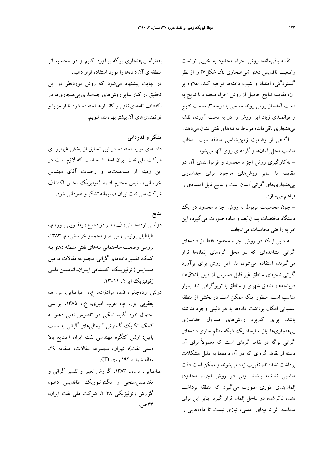بهمنزله بيهنجاري بوگه برآورد كنيم و در محاسبه اثر منطقهاي آن دادهها را مورد استفاده قرار دهيم. در نهايت پيشنهاد ميشود كه روش موردنظر در اين تحقيق در كنار ساير روشهاي جداسازي بيهنجاريها در اكتشاف تلههاي نفتي و كانسارها استفاده شود تا از مزايا و توانمنديهاي آن بيشتربهرهمند شويم.

## **تشكر و قدرداني**

دادههاي مورد استفاده در اين تحقيق از بخش غيرلرزهاي شركت ملي نفت ايران اخذ شده است كه لازم است در اين زمينه از مساعدتها و زحمات آقاي مهندس خراساني، رئيس محترم اداره ژئوفيزيك بخش اكتشاف شركت ملي نفت ايران صميمانه تشكرو قدرداني شود.

## **منابع**

دولتــي اردهجــاني، ف،. مــرادزاده، ع،. يعقــوبي پــور، م،. طباطبايي رئيسي، س. ه. و محمدو خراساني، م، ،1383 بررسي وضعيت ساختماني تله هاي نفتي منطقه دهنو بـه كمك تفسير داده هاي گراني: مجموعه مقالات دومين همــايش ژئوفيزيــك اكتــشافي ايــران، انجمــن ملــي ژئوفيزيك ايران، .13-11

- دولتي اردهجاني، ف،. مرادزاده، ع،. طباطبايي، س. ه،. يعقوبي پور، م،. عرب اميري، ع،. ،1385 بررسي احتمال نفوذ گنبد نمكي در تاقديس نفتي دهنو به كمك تكنيك گسترش آنوماليهاي گراني به سمت پايين: اولين كنگره مهندسي نفت ايران (صنايع بالا دستي نفت)، تهران، مجموعه مقالات، صفحه ،29 مقاله شماره 194 روي CD.
- طباطبايي، س.ه،. ،1383 گزارش تعبير و تفسير گراني و مغناطيسسنجي و مگنتوتلوريك طاقديس دهنو، گزارش ژئوفيزيكي ،2038 شركت ملي نفت ايران، ٣٣ ص.

- نقشه باقيمانده روش اجزاء محدود به خوبي توانست وضعيت تاقديس دهنو (بيهنجاري A، شكل7) را از نظر گستردگي، امتداد و شيب دامنهها توجيه كند. علاوه بر آن، مقايسه نتايج حاصل از روش اجزاء محدود با نتايج به دست آمده از روش روند سطحي با درجه ۳، صحت نتايج و توانمندي زياد اين روش را در به دست آوردن نقشه بيهنجاري باقيمانده مربوط به تلههاي نفتي نشان ميدهد. - آگاهي از وضعيت زمينشناسي منطقه سبب انتخاب مناسب محل المانها و گرههاي روي آنها ميشود. - بهكارگيري روش اجزاء محدود و فرمولبندي آن در مقايسه با ساير روشهاي موجود براي جداسازي بيهنجاريهاي گراني آسان است و نتايج قابل اعتمادي را فراهم ميسازد.

- چون محاسبات مربوط به روش اجزاء محدود در يك دستگاه مختصات بدون بعد و ساده صورت ميگيرد، اين امربه راحتي محاسبات ميانجامد.

- به دليل اينكه در روش اجزاء محدود فقط از دادههاي گراني مشاهدهاي كه در محل گرههاي المانها قرار ميگيرند، استفاده ميشود، لذا اين روش براي برآورد گراني ناحيهاي مناطق غير قابل دسترس از قبيل باتلاقها، درياچهها، مناطق شهري و مناطق با توپوگرافي تند بسيار مناسب است. منظور اينكه ممكن است در بخشي از منطقه عملياتي امكان برداشت دادهها به هر دليلي وجود نداشته باشد. براي كاربرد روشهاي متداول جداسازي بيهنجاريها نياز به ايجاد يك شبكه منظم حاوي دادههاي گراني بوگه در نقاط گرهاي است كه معمولاً براي آن دسته از نقاط گرهاي كه در آن دادهها به دليل مشكلات برداشت نشدهاند، تقريب زده ميشوند و ممكن است دقت مناسبي نداشته باشند. ولي در روش اجزاء محدود، المانبندي طوري صورت ميگيرد كه منطقه برداشت نشده ذكرشده در داخل المان قرار گيرد. بنابر اين براي محاسبه اثر ناحيهاي حتمي، نيازي نيست تا دادههايي را